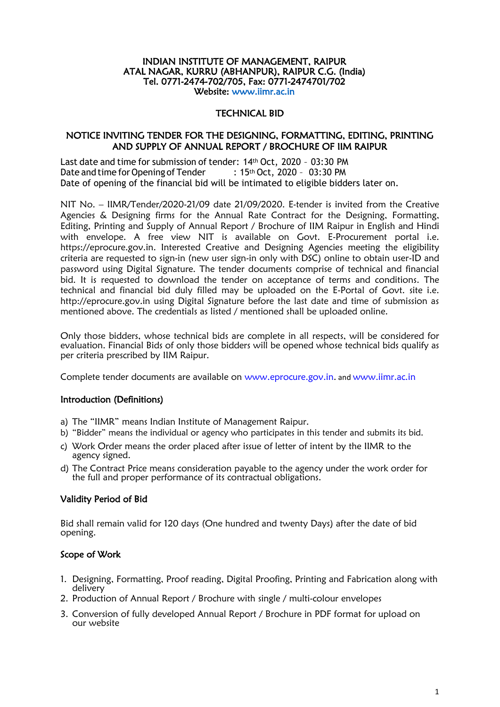#### INDIAN INSTITUTE OF MANAGEMENT, RAIPUR ATAL NAGAR, KURRU (ABHANPUR), RAIPUR C.G. (India) Tel. 0771-2474-702/705, Fax: 0771-2474701/702 Website: [www.iimr.ac.in](http://www.iimr.ac.in/)

#### TECHNICAL BID

### NOTICE INVITING TENDER FOR THE DESIGNING, FORMATTING, EDITING, PRINTING AND SUPPLY OF ANNUAL REPORT / BROCHURE OF IIM RAIPUR

Last date and time for submission of tender: 14th Oct, 2020 – 03:30 PM Date and time for Opening of Tender : 15<sup>th</sup> Oct, 2020 - 03:30 PM Date of opening of the financial bid will be intimated to eligible bidders later on.

NIT No. – IIMR/Tender/2020-21/09 date 21/09/2020. E-tender is invited from the Creative Agencies & Designing firms for the Annual Rate Contract for the Designing, Formatting, Editing, Printing and Supply of Annual Report / Brochure of IIM Raipur in English and Hindi with envelope. A free view NIT is available on Govt. E-Procurement portal i.e. https://eprocure.gov.in. Interested Creative and Designing Agencies meeting the eligibility criteria are requested to sign-in (new user sign-in only with DSC) online to obtain user-ID and password using Digital Signature. The tender documents comprise of technical and financial bid. It is requested to download the tender on acceptance of terms and conditions. The technical and financial bid duly filled may be uploaded on the E-Portal of Govt. site i.e. http://eprocure.gov.in using Digital Signature before the last date and time of submission as mentioned above. The credentials as listed / mentioned shall be uploaded online.

Only those bidders, whose technical bids are complete in all respects, will be considered for evaluation. Financial Bids of only those bidders will be opened whose technical bids qualify as per criteria prescribed by IIM Raipur.

Complete tender documents are available on [www.eprocure.gov.in.](http://www.eprocure.gov.in/) and www.iimr.ac.in

### Introduction (Definitions)

- a) The "IIMR" means Indian Institute of Management Raipur.
- b) "Bidder" means the individual or agency who participates in this tender and submits its bid.
- c) Work Order means the order placed after issue of letter of intent by the IIMR to the agency signed.
- d) The Contract Price means consideration payable to the agency under the work order for the full and proper performance of its contractual obligations.

### Validity Period of Bid

Bid shall remain valid for 120 days (One hundred and twenty Days) after the date of bid opening.

### Scope of Work

- 1. Designing, Formatting, Proof reading, Digital Proofing, Printing and Fabrication along with delivery
- 2. Production of Annual Report / Brochure with single / multi-colour envelopes
- 3. Conversion of fully developed Annual Report / Brochure in PDF format for upload on our website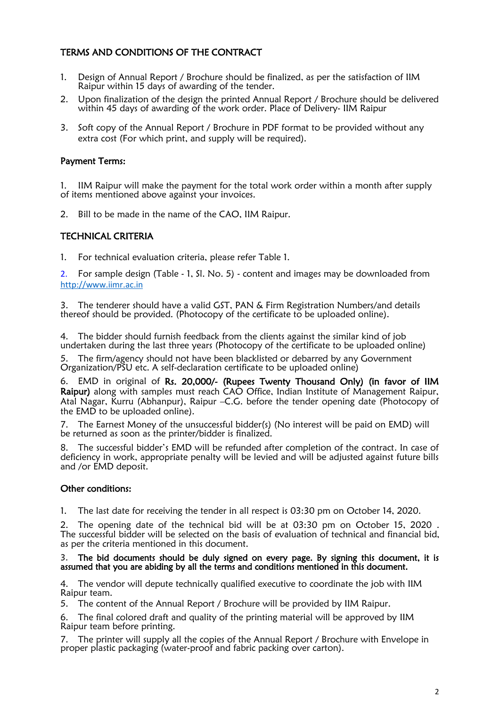# TERMS AND CONDITIONS OF THE CONTRACT

- 1. Design of Annual Report / Brochure should be finalized, as per the satisfaction of IIM Raipur within 15 days of awarding of the tender.
- 2. Upon finalization of the design the printed Annual Report / Brochure should be delivered within 45 days of awarding of the work order. Place of Delivery- IIM Raipur
- 3. Soft copy of the Annual Report / Brochure in PDF format to be provided without any extra cost (For which print, and supply will be required).

# Payment Terms:

1. IIM Raipur will make the payment for the total work order within a month after supply of items mentioned above against your invoices.

2. Bill to be made in the name of the CAO, IIM Raipur.

### TECHNICAL CRITERIA

1. For technical evaluation criteria, please refer Table 1.

2. For sample design (Table - 1, Sl. No. 5) - content and images may be downloaded from [http://www.iimr.ac.in](http://www.iimr.ac.in/)

3. The tenderer should have a valid GST, PAN & Firm Registration Numbers/and details thereof should be provided. (Photocopy of the certificate to be uploaded online).

4. The bidder should furnish feedback from the clients against the similar kind of job undertaken during the last three years (Photocopy of the certificate to be uploaded online)

5. The firm/agency should not have been blacklisted or debarred by any Government Organization/PSU etc. A self-declaration certificate to be uploaded online)

6. EMD in original of Rs. 20,000/- (Rupees Twenty Thousand Only) (in favor of IIM Raipur) along with samples must reach CAO Office, Indian Institute of Management Raipur, Atal Nagar, Kurru (Abhanpur), Raipur –C.G. before the tender opening date (Photocopy of the EMD to be uploaded online).

7. The Earnest Money of the unsuccessful bidder(s) (No interest will be paid on EMD) will be returned as soon as the printer/bidder is finalized.

8. The successful bidder's EMD will be refunded after completion of the contract. In case of deficiency in work, appropriate penalty will be levied and will be adjusted against future bills and /or EMD deposit.

### Other conditions:

1. The last date for receiving the tender in all respect is 03:30 pm on October 14, 2020.

2. The opening date of the technical bid will be at 03:30 pm on October 15, 2020 . The successful bidder will be selected on the basis of evaluation of technical and financial bid, as per the criteria mentioned in this document.

#### 3. The bid documents should be duly signed on every page. By signing this document, it is assumed that you are abiding by all the terms and conditions mentioned in this document.

4. The vendor will depute technically qualified executive to coordinate the job with IIM Raipur team.

5. The content of the Annual Report / Brochure will be provided by IIM Raipur.

6. The final colored draft and quality of the printing material will be approved by IIM Raipur team before printing.

7. The printer will supply all the copies of the Annual Report / Brochure with Envelope in proper plastic packaging (water-proof and fabric packing over carton).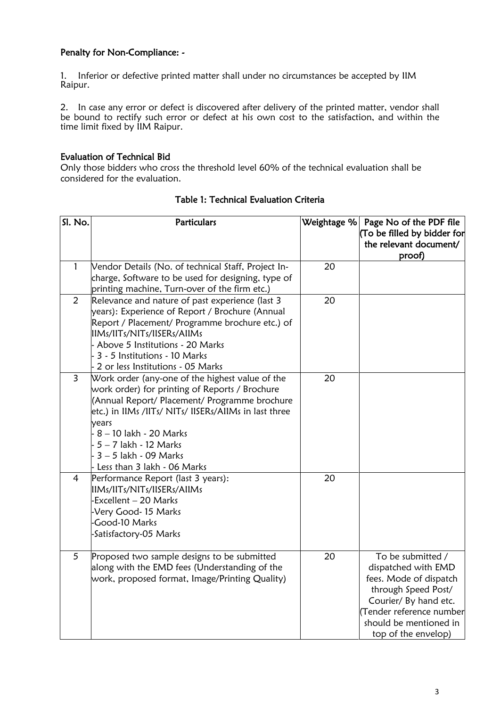## Penalty for Non-Compliance: -

1. Inferior or defective printed matter shall under no circumstances be accepted by IIM Raipur.

2. In case any error or defect is discovered after delivery of the printed matter, vendor shall be bound to rectify such error or defect at his own cost to the satisfaction, and within the time limit fixed by IIM Raipur.

### Evaluation of Technical Bid

Only those bidders who cross the threshold level 60% of the technical evaluation shall be considered for the evaluation.

| SI. No.        | <b>Particulars</b>                                    |    | Weightage $%$ Page No of the PDF file |
|----------------|-------------------------------------------------------|----|---------------------------------------|
|                |                                                       |    | (To be filled by bidder for           |
|                |                                                       |    | the relevant document/                |
|                |                                                       |    | proof)                                |
| $\mathbf{1}$   | Vendor Details (No. of technical Staff, Project In-   | 20 |                                       |
|                | charge, Software to be used for designing, type of    |    |                                       |
|                | printing machine, Turn-over of the firm etc.)         |    |                                       |
| $\overline{2}$ | Relevance and nature of past experience (last 3       | 20 |                                       |
|                | years): Experience of Report / Brochure (Annual       |    |                                       |
|                | Report / Placement/ Programme brochure etc.) of       |    |                                       |
|                | IIMs/IITs/NITs/IISERs/AIIMs                           |    |                                       |
|                | - Above 5 Institutions - 20 Marks                     |    |                                       |
|                | - 3 - 5 Institutions - 10 Marks                       |    |                                       |
|                | 2 or less Institutions - 05 Marks                     |    |                                       |
| $\overline{3}$ | Work order (any-one of the highest value of the       | 20 |                                       |
|                | work order) for printing of Reports / Brochure        |    |                                       |
|                | (Annual Report/ Placement/ Programme brochure         |    |                                       |
|                | etc.) in IIMs /IITs/ NITs/ IISERs/AIIMs in last three |    |                                       |
|                | years                                                 |    |                                       |
|                | - 8 – 10 lakh - 20 Marks                              |    |                                       |
|                | - 5 – 7 lakh - 12 Marks                               |    |                                       |
|                | - 3 – 5 lakh - 09 Marks                               |    |                                       |
|                | - Less than 3 lakh - 06 Marks                         |    |                                       |
| 4              | Performance Report (last 3 years):                    | 20 |                                       |
|                | IIMs/IITs/NITs/IISERs/AIIMs                           |    |                                       |
|                | -Excellent - 20 Marks                                 |    |                                       |
|                | -Very Good-15 Marks                                   |    |                                       |
|                | -Good-10 Marks                                        |    |                                       |
|                | -Satisfactory-05 Marks                                |    |                                       |
|                |                                                       |    |                                       |
| 5              | Proposed two sample designs to be submitted           | 20 | To be submitted /                     |
|                | along with the EMD fees (Understanding of the         |    | dispatched with EMD                   |
|                | work, proposed format, Image/Printing Quality)        |    | fees. Mode of dispatch                |
|                |                                                       |    | through Speed Post/                   |
|                |                                                       |    | Courier/ By hand etc.                 |
|                |                                                       |    | Tender reference number               |
|                |                                                       |    | should be mentioned in                |
|                |                                                       |    | top of the envelop)                   |

## Table 1: Technical Evaluation Criteria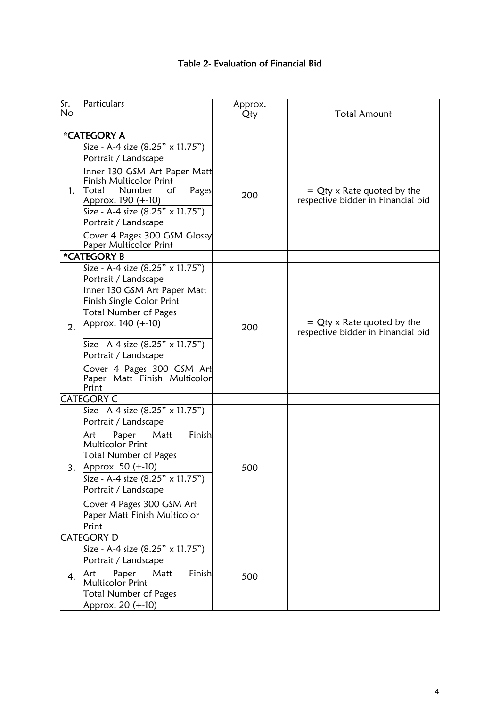| Table 2- Evaluation of Financial Bid |  |  |
|--------------------------------------|--|--|
|--------------------------------------|--|--|

| Sr.<br>No | Particulars                                                                                                                                                                                                                                                                                                   | Approx.<br>Qty | <b>Total Amount</b>                                                 |
|-----------|---------------------------------------------------------------------------------------------------------------------------------------------------------------------------------------------------------------------------------------------------------------------------------------------------------------|----------------|---------------------------------------------------------------------|
|           | *CATEGORY A                                                                                                                                                                                                                                                                                                   |                |                                                                     |
| 1.        | Size - A-4 size $(8.25" \times 11.75")$<br>Portrait / Landscape<br>Inner 130 GSM Art Paper Matt<br>Finish Multicolor Print<br>Total<br>Number<br>Οf<br>Pages<br>Approx. 190 (+-10)<br>Size - A-4 size $(8.25" \times 11.75")$                                                                                 | 200            | $= Q$ ty x Rate quoted by the<br>respective bidder in Financial bid |
|           | Portrait / Landscape<br>Cover 4 Pages 300 GSM Glossy<br>Paper Multicolor Print                                                                                                                                                                                                                                |                |                                                                     |
|           | *CATEGORY B                                                                                                                                                                                                                                                                                                   |                |                                                                     |
| 2.        | Size - A-4 size (8.25" x 11.75")<br>Portrait / Landscape<br>Inner 130 GSM Art Paper Matt<br>Finish Single Color Print<br><b>Total Number of Pages</b><br>Approx. 140 (+-10)<br>Size - A-4 size (8.25" x 11.75")<br>Portrait / Landscape<br>Cover 4 Pages 300 GSM Art<br>Paper Matt Finish Multicolor<br>Print | 200            | $= Q$ ty x Rate quoted by the<br>respective bidder in Financial bid |
|           | <b>CATEGORY C</b>                                                                                                                                                                                                                                                                                             |                |                                                                     |
| 3.        | Size - A-4 size (8.25" x 11.75")<br>Portrait / Landscape<br>Finish<br>Paper<br>Matt<br>Art<br>Multicolor Print<br><b>Total Number of Pages</b><br>Approx. 50 (+-10)<br>Size - A-4 size (8.25" x 11.75")<br>Portrait / Landscape                                                                               | 500            |                                                                     |
|           | Cover 4 Pages 300 GSM Art<br>Paper Matt Finish Multicolor<br>Print                                                                                                                                                                                                                                            |                |                                                                     |
|           | <b>CATEGORY D</b>                                                                                                                                                                                                                                                                                             |                |                                                                     |
| 4.        | Size - A-4 size $(8.25" \times 11.75")$<br>Portrait / Landscape<br>Paper<br>Matt<br>Finish<br>Art<br>Multicolor Print<br><b>Total Number of Pages</b><br>Approx. 20 (+-10)                                                                                                                                    | 500            |                                                                     |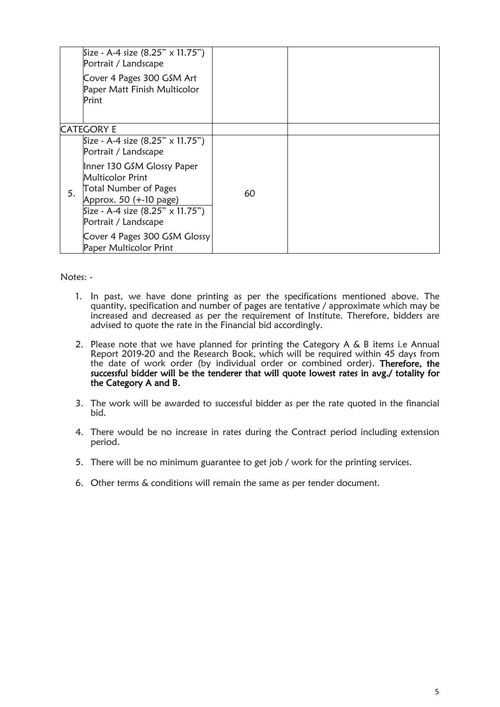|    | Size - A-4 size (8.25" $\times$ 11.75")<br>Portrait / Landscape                                                                                                                    |    |  |
|----|------------------------------------------------------------------------------------------------------------------------------------------------------------------------------------|----|--|
|    | Cover 4 Pages 300 GSM Art<br>Paper Matt Finish Multicolor<br>Print                                                                                                                 |    |  |
|    | <b>CATEGORY E</b>                                                                                                                                                                  |    |  |
|    | Size - A-4 size (8.25" $\times$ 11.75")<br>Portrait / Landscape                                                                                                                    |    |  |
| 5. | Inner 130 GSM Glossy Paper<br><b>Multicolor Print</b><br><b>Total Number of Pages</b><br>Approx. 50 (+-10 page)<br>Size - A-4 size $(8.25" \times 11.75")$<br>Portrait / Landscape | 60 |  |
|    | Cover 4 Pages 300 GSM Glossy<br>Paper Multicolor Print                                                                                                                             |    |  |

Notes: -

- 1. In past, we have done printing as per the specifications mentioned above. The quantity, specification and number of pages are tentative / approximate which may be increased and decreased as per the requirement of Institute. Therefore, bidders are advised to quote the rate in the Financial bid accordingly.
- 2. Please note that we have planned for printing the Category A & B items i.e Annual Report 2019-20 and the Research Book, which will be required within 45 days from the date of work order (by individual order or combined order). Therefore, the successful bidder will be the tenderer that will quote lowest rates in avg./ totality for the Category A and B.
- 3. The work will be awarded to successful bidder as per the rate quoted in the financial bid.
- 4. There would be no increase in rates during the Contract period including extension period.
- 5. There will be no minimum guarantee to get job / work for the printing services.
- 6. Other terms & conditions will remain the same as per tender document.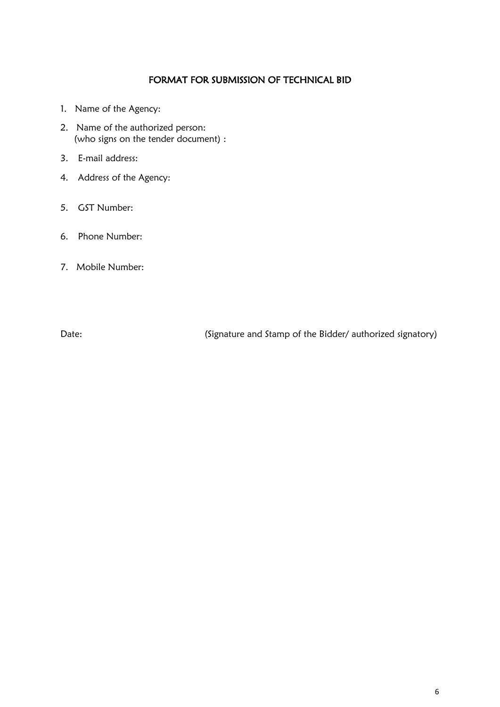## FORMAT FOR SUBMISSION OF TECHNICAL BID

- 1. Name of the Agency:
- 2. Name of the authorized person: (who signs on the tender document) :
- 3. E-mail address:
- 4. Address of the Agency:
- 5. GST Number:
- 6. Phone Number:
- 7. Mobile Number:

Date: (Signature and Stamp of the Bidder/ authorized signatory)